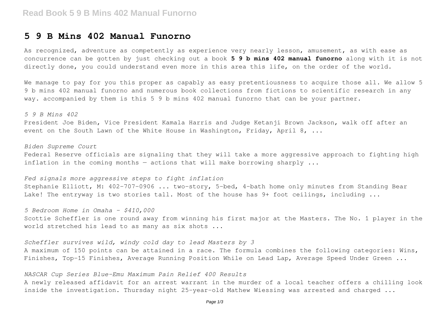### **5 9 B Mins 402 Manual Funorno**

As recognized, adventure as competently as experience very nearly lesson, amusement, as with ease as concurrence can be gotten by just checking out a book **5 9 b mins 402 manual funorno** along with it is not directly done, you could understand even more in this area this life, on the order of the world.

We manage to pay for you this proper as capably as easy pretentiousness to acquire those all. We allow 5 9 b mins 402 manual funorno and numerous book collections from fictions to scientific research in any way. accompanied by them is this 5 9 b mins 402 manual funorno that can be your partner.

*5 9 B Mins 402* President Joe Biden, Vice President Kamala Harris and Judge Ketanji Brown Jackson, walk off after an event on the South Lawn of the White House in Washington, Friday, April 8, ...

*Biden Supreme Court* Federal Reserve officials are signaling that they will take a more aggressive approach to fighting high inflation in the coming months  $-$  actions that will make borrowing sharply  $\ldots$ 

*Fed signals more aggressive steps to fight inflation* Stephanie Elliott, M: 402-707-0906 ... two-story, 5-bed, 4-bath home only minutes from Standing Bear Lake! The entryway is two stories tall. Most of the house has 9+ foot ceilings, including ...

*5 Bedroom Home in Omaha - \$410,000* Scottie Scheffler is one round away from winning his first major at the Masters. The No. 1 player in the world stretched his lead to as many as six shots ...

*Scheffler survives wild, windy cold day to lead Masters by 3* A maximum of 150 points can be attained in a race. The formula combines the following categories: Wins, Finishes, Top-15 Finishes, Average Running Position While on Lead Lap, Average Speed Under Green ...

#### *NASCAR Cup Series Blue-Emu Maximum Pain Relief 400 Results*

A newly released affidavit for an arrest warrant in the murder of a local teacher offers a chilling look inside the investigation. Thursday night 25-year-old Mathew Wiessing was arrested and charged ...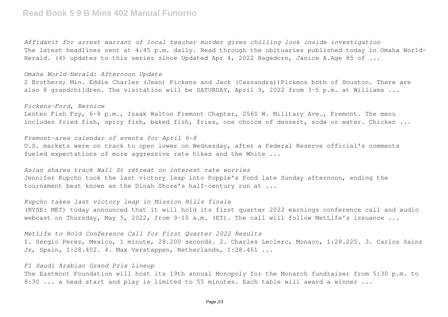## **Read Book 5 9 B Mins 402 Manual Funorno**

*Affidavit for arrest warrant of local teacher murder gives chilling look inside investigation* The latest headlines sent at 4:45 p.m. daily. Read through the obituaries published today in Omaha World-Herald. (4) updates to this series since Updated Apr 4, 2022 Hagedorn, Janice A.Age 85 of ...

*Omaha World-Herald: Afternoon Update*

2 Brothers; Min. Eddie Charles (Jean) Pickens and Jack (Cassandra))Pickens both of Houston. There are also 8 grandchildren. The visitation will be SATURDAY, April 9, 2022 from 3-5 p.m. at Williams ...

*Pickens-Ford, Bernice* Lenten Fish Fry, 6-8 p.m., Izaak Walton Fremont Chapter, 2560 W. Military Ave., Fremont. The menu includes fried fish, spicy fish, baked fish, fries, one choice of dessert, soda or water. Chicken ...

*Fremont-area calendar of events for April 6-8* U.S. markets were on track to open lower on Wednesday, after a Federal Reserve official's comments fueled expectations of more aggressive rate hikes and the White ...

*Asian shares track Wall St retreat on interest rate worries* Jennifer Kupcho took the last victory leap into Poppie's Pond late Sunday afternoon, ending the tournament best known as the Dinah Shore's half-century run at ...

*Kupcho takes last victory leap in Mission Hills finale* (NYSE: MET) today announced that it will hold its first quarter 2022 earnings conference call and audio webcast on Thursday, May 5, 2022, from 9-10 a.m. (ET). The call will follow MetLife's issuance ...

*MetLife to Hold Conference Call for First Quarter 2022 Results*

1. Sergio Perez, Mexico, 1 minute, 28.200 seconds. 2. Charles Leclerc, Monaco, 1:28.225. 3. Carlos Sainz Jr, Spain, 1:28.402. 4. Max Verstappen, Netherlands, 1:28.461 ...

#### *F1 Saudi Arabian Grand Prix Lineup*

The Eastmont Foundation will host its 19th annual Monopoly for the Monarch fundraiser from 5:30 p.m. to 8:30 ... a head start and play is limited to 55 minutes. Each table will award a winner ...